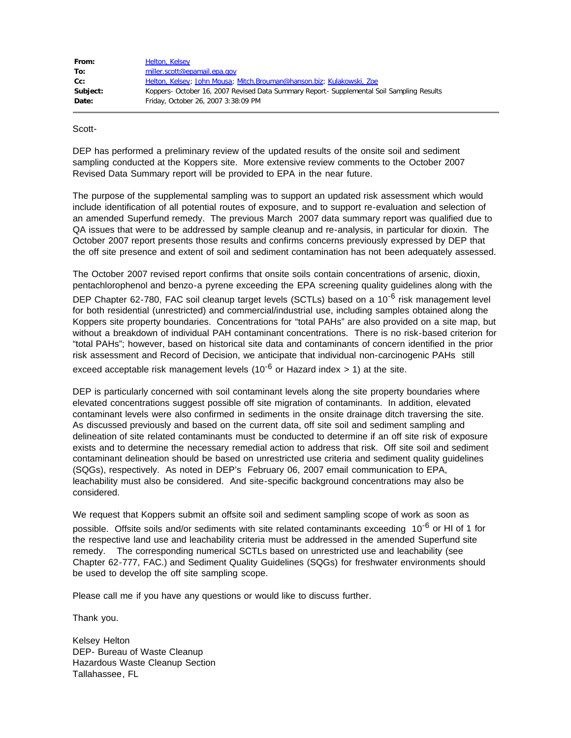| From:    | <b>Helton, Kelsey</b>                                                                       |
|----------|---------------------------------------------------------------------------------------------|
| To:      | miller.scott@epamail.epa.gov                                                                |
| cc:      | Helton, Kelsey; John Mousa; Mitch.Brouman@hanson.biz; Kulakowski, Zoe                       |
| Subject: | Koppers - October 16, 2007 Revised Data Summary Report - Supplemental Soil Sampling Results |
| Date:    | Friday, October 26, 2007 3:38:09 PM                                                         |

Scott-

DEP has performed a preliminary review of the updated results of the onsite soil and sediment sampling conducted at the Koppers site. More extensive review comments to the October 2007 Revised Data Summary report will be provided to EPA in the near future.

The purpose of the supplemental sampling was to support an updated risk assessment which would include identification of all potential routes of exposure, and to support re-evaluation and selection of an amended Superfund remedy. The previous March 2007 data summary report was qualified due to QA issues that were to be addressed by sample cleanup and re-analysis, in particular for dioxin. The October 2007 report presents those results and confirms concerns previously expressed by DEP that the off site presence and extent of soil and sediment contamination has not been adequately assessed.

The October 2007 revised report confirms that onsite soils contain concentrations of arsenic, dioxin, pentachlorophenol and benzo-a pyrene exceeding the EPA screening quality guidelines along with the DEP Chapter 62-780, FAC soil cleanup target levels (SCTLs) based on a 10<sup>-6</sup> risk management level for both residential (unrestricted) and commercial/industrial use, including samples obtained along the Koppers site property boundaries. Concentrations for "total PAHs" are also provided on a site map, but without a breakdown of individual PAH contaminant concentrations. There is no risk-based criterion for "total PAHs"; however, based on historical site data and contaminants of concern identified in the prior risk assessment and Record of Decision, we anticipate that individual non-carcinogenic PAHs still exceed acceptable risk management levels (10<sup>-6</sup> or Hazard index  $> 1$ ) at the site.

DEP is particularly concerned with soil contaminant levels along the site property boundaries where elevated concentrations suggest possible off site migration of contaminants. In addition, elevated contaminant levels were also confirmed in sediments in the onsite drainage ditch traversing the site. As discussed previously and based on the current data, off site soil and sediment sampling and delineation of site related contaminants must be conducted to determine if an off site risk of exposure exists and to determine the necessary remedial action to address that risk. Off site soil and sediment contaminant delineation should be based on unrestricted use criteria and sediment quality guidelines (SQGs), respectively. As noted in DEP's February 06, 2007 email communication to EPA, leachability must also be considered. And site-specific background concentrations may also be considered.

We request that Koppers submit an offsite soil and sediment sampling scope of work as soon as possible. Offsite soils and/or sediments with site related contaminants exceeding 10<sup>-6</sup> or HI of 1 for the respective land use and leachability criteria must be addressed in the amended Superfund site remedy. The corresponding numerical SCTLs based on unrestricted use and leachability (see Chapter 62-777, FAC.) and Sediment Quality Guidelines (SQGs) for freshwater environments should be used to develop the off site sampling scope.

Please call me if you have any questions or would like to discuss further.

Thank you.

Kelsey Helton DEP- Bureau of Waste Cleanup Hazardous Waste Cleanup Section Tallahassee, FL